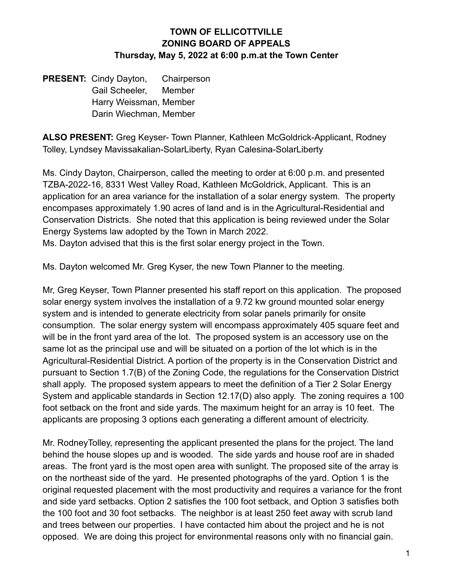## **TOWN OF ELLICOTTVILLE ZONING BOARD OF APPEALS Thursday, May 5, 2022 at 6:00 p.m.at the Town Center**

**PRESENT:** Cindy Dayton, Chairperson Gail Scheeler, Member Harry Weissman, Member Darin Wiechman, Member

**ALSO PRESENT:** Greg Keyser- Town Planner, Kathleen McGoldrick-Applicant, Rodney Tolley, Lyndsey Mavissakalian-SolarLiberty, Ryan Calesina-SolarLiberty

Ms. Cindy Dayton, Chairperson, called the meeting to order at 6:00 p.m. and presented TZBA-2022-16, 8331 West Valley Road, Kathleen McGoldrick, Applicant. This is an application for an area variance for the installation of a solar energy system. The property encompases approximately 1.90 acres of land and is in the Agricultural-Residential and Conservation Districts. She noted that this application is being reviewed under the Solar Energy Systems law adopted by the Town in March 2022.

Ms. Dayton advised that this is the first solar energy project in the Town.

Ms. Dayton welcomed Mr. Greg Kyser, the new Town Planner to the meeting.

Mr, Greg Keyser, Town Planner presented his staff report on this application. The proposed solar energy system involves the installation of a 9.72 kw ground mounted solar energy system and is intended to generate electricity from solar panels primarily for onsite consumption. The solar energy system will encompass approximately 405 square feet and will be in the front yard area of the lot. The proposed system is an accessory use on the same lot as the principal use and will be situated on a portion of the lot which is in the Agricultural-Residential District. A portion of the property is in the Conservation District and pursuant to Section 1.7(B) of the Zoning Code, the regulations for the Conservation District shall apply. The proposed system appears to meet the definition of a Tier 2 Solar Energy System and applicable standards in Section 12.17(D) also apply. The zoning requires a 100 foot setback on the front and side yards. The maximum height for an array is 10 feet. The applicants are proposing 3 options each generating a different amount of electricity.

Mr. RodneyTolley, representing the applicant presented the plans for the project. The land behind the house slopes up and is wooded. The side yards and house roof are in shaded areas. The front yard is the most open area with sunlight. The proposed site of the array is on the northeast side of the yard. He presented photographs of the yard. Option 1 is the original requested placement with the most productivity and requires a variance for the front and side yard setbacks. Option 2 satisfies the 100 foot setback, and Option 3 satisfies both the 100 foot and 30 foot setbacks. The neighbor is at least 250 feet away with scrub land and trees between our properties. I have contacted him about the project and he is not opposed. We are doing this project for environmental reasons only with no financial gain.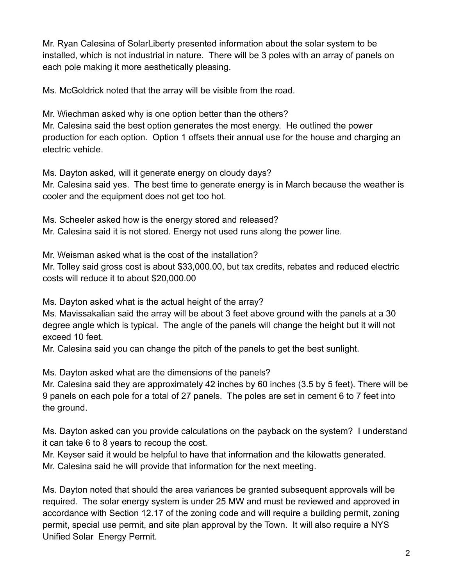Mr. Ryan Calesina of SolarLiberty presented information about the solar system to be installed, which is not industrial in nature. There will be 3 poles with an array of panels on each pole making it more aesthetically pleasing.

Ms. McGoldrick noted that the array will be visible from the road.

Mr. Wiechman asked why is one option better than the others? Mr. Calesina said the best option generates the most energy. He outlined the power production for each option. Option 1 offsets their annual use for the house and charging an electric vehicle.

Ms. Dayton asked, will it generate energy on cloudy days?

Mr. Calesina said yes. The best time to generate energy is in March because the weather is cooler and the equipment does not get too hot.

Ms. Scheeler asked how is the energy stored and released? Mr. Calesina said it is not stored. Energy not used runs along the power line.

Mr. Weisman asked what is the cost of the installation?

Mr. Tolley said gross cost is about \$33,000.00, but tax credits, rebates and reduced electric costs will reduce it to about \$20,000.00

Ms. Dayton asked what is the actual height of the array?

Ms. Mavissakalian said the array will be about 3 feet above ground with the panels at a 30 degree angle which is typical. The angle of the panels will change the height but it will not exceed 10 feet.

Mr. Calesina said you can change the pitch of the panels to get the best sunlight.

Ms. Dayton asked what are the dimensions of the panels?

Mr. Calesina said they are approximately 42 inches by 60 inches (3.5 by 5 feet). There will be 9 panels on each pole for a total of 27 panels. The poles are set in cement 6 to 7 feet into the ground.

Ms. Dayton asked can you provide calculations on the payback on the system? I understand it can take 6 to 8 years to recoup the cost.

Mr. Keyser said it would be helpful to have that information and the kilowatts generated. Mr. Calesina said he will provide that information for the next meeting.

Ms. Dayton noted that should the area variances be granted subsequent approvals will be required. The solar energy system is under 25 MW and must be reviewed and approved in accordance with Section 12.17 of the zoning code and will require a building permit, zoning permit, special use permit, and site plan approval by the Town. It will also require a NYS Unified Solar Energy Permit.